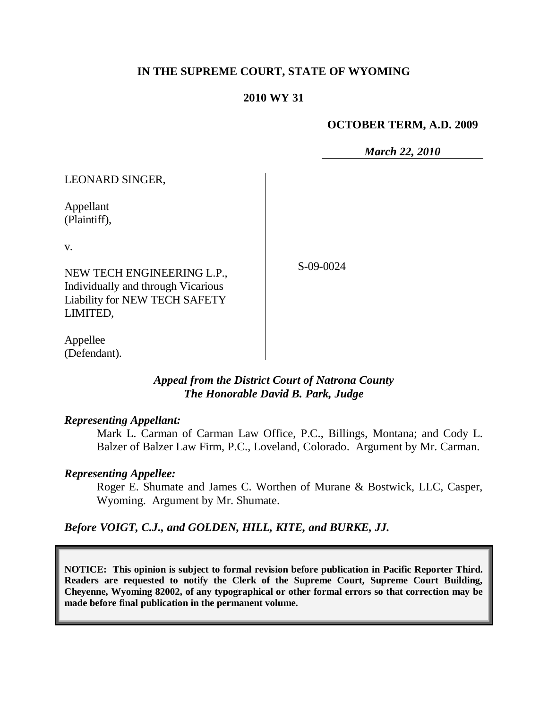## **IN THE SUPREME COURT, STATE OF WYOMING**

#### **2010 WY 31**

#### **OCTOBER TERM, A.D. 2009**

*March 22, 2010*

| <b>LEONARD SINGER,</b>                                                                                               |           |
|----------------------------------------------------------------------------------------------------------------------|-----------|
| Appellant<br>(Plaintiff),                                                                                            |           |
| V.                                                                                                                   |           |
| NEW TECH ENGINEERING L.P.,<br>Individually and through Vicarious<br><b>Liability for NEW TECH SAFETY</b><br>LIMITED, | S-09-0024 |
| Appellee                                                                                                             |           |

*Appeal from the District Court of Natrona County The Honorable David B. Park, Judge* 

#### *Representing Appellant:*

(Defendant).

Mark L. Carman of Carman Law Office, P.C., Billings, Montana; and Cody L. Balzer of Balzer Law Firm, P.C., Loveland, Colorado. Argument by Mr. Carman.

#### *Representing Appellee:*

Roger E. Shumate and James C. Worthen of Murane & Bostwick, LLC, Casper, Wyoming. Argument by Mr. Shumate.

### *Before VOIGT, C.J., and GOLDEN, HILL, KITE, and BURKE, JJ.*

**NOTICE: This opinion is subject to formal revision before publication in Pacific Reporter Third. Readers are requested to notify the Clerk of the Supreme Court, Supreme Court Building, Cheyenne, Wyoming 82002, of any typographical or other formal errors so that correction may be made before final publication in the permanent volume.**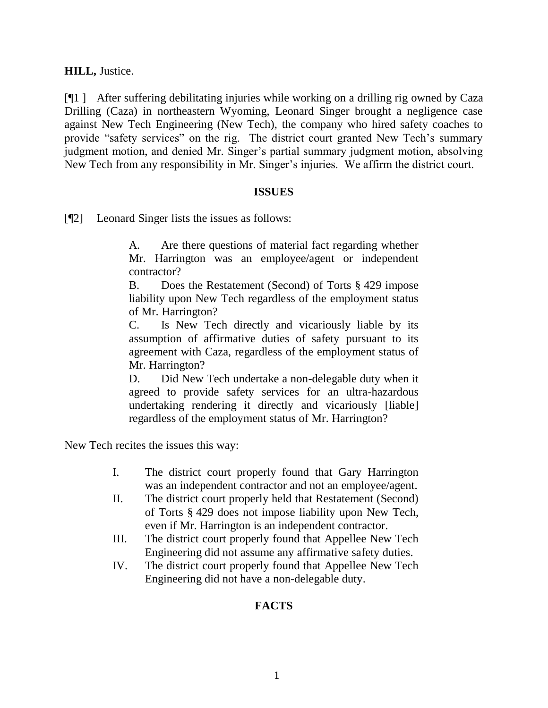**HILL,** Justice.

[¶1 ] After suffering debilitating injuries while working on a drilling rig owned by Caza Drilling (Caza) in northeastern Wyoming, Leonard Singer brought a negligence case against New Tech Engineering (New Tech), the company who hired safety coaches to provide "safety services" on the rig. The district court granted New Tech's summary judgment motion, and denied Mr. Singer's partial summary judgment motion, absolving New Tech from any responsibility in Mr. Singer's injuries. We affirm the district court.

#### **ISSUES**

[¶2] Leonard Singer lists the issues as follows:

A. Are there questions of material fact regarding whether Mr. Harrington was an employee/agent or independent contractor?

B. Does the Restatement (Second) of Torts § 429 impose liability upon New Tech regardless of the employment status of Mr. Harrington?

C. Is New Tech directly and vicariously liable by its assumption of affirmative duties of safety pursuant to its agreement with Caza, regardless of the employment status of Mr. Harrington?

D. Did New Tech undertake a non-delegable duty when it agreed to provide safety services for an ultra-hazardous undertaking rendering it directly and vicariously [liable] regardless of the employment status of Mr. Harrington?

New Tech recites the issues this way:

- I. The district court properly found that Gary Harrington was an independent contractor and not an employee/agent.
- II. The district court properly held that Restatement (Second) of Torts § 429 does not impose liability upon New Tech, even if Mr. Harrington is an independent contractor.
- III. The district court properly found that Appellee New Tech Engineering did not assume any affirmative safety duties.
- IV. The district court properly found that Appellee New Tech Engineering did not have a non-delegable duty.

## **FACTS**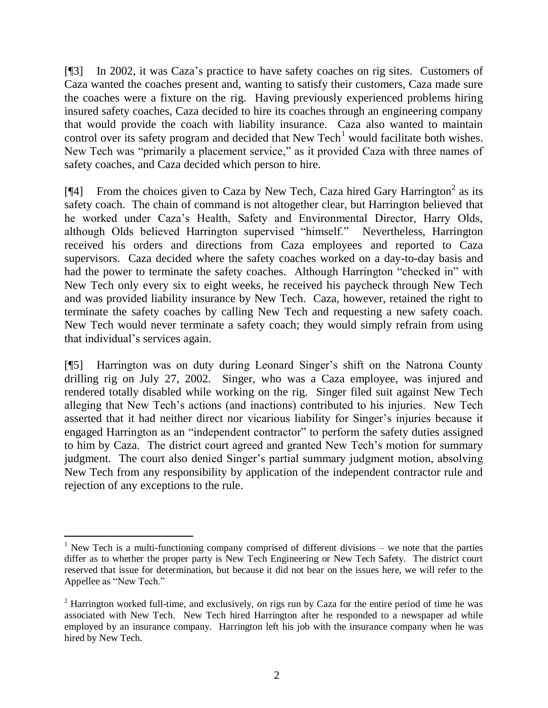[¶3] In 2002, it was Caza's practice to have safety coaches on rig sites. Customers of Caza wanted the coaches present and, wanting to satisfy their customers, Caza made sure the coaches were a fixture on the rig. Having previously experienced problems hiring insured safety coaches, Caza decided to hire its coaches through an engineering company that would provide the coach with liability insurance. Caza also wanted to maintain control over its safety program and decided that New Tech<sup>1</sup> would facilitate both wishes. New Tech was "primarily a placement service," as it provided Caza with three names of safety coaches, and Caza decided which person to hire.

[ $[$ 4] From the choices given to Caza by New Tech, Caza hired Gary Harrington<sup>2</sup> as its safety coach. The chain of command is not altogether clear, but Harrington believed that he worked under Caza's Health, Safety and Environmental Director, Harry Olds, although Olds believed Harrington supervised "himself." Nevertheless, Harrington received his orders and directions from Caza employees and reported to Caza supervisors. Caza decided where the safety coaches worked on a day-to-day basis and had the power to terminate the safety coaches. Although Harrington "checked in" with New Tech only every six to eight weeks, he received his paycheck through New Tech and was provided liability insurance by New Tech. Caza, however, retained the right to terminate the safety coaches by calling New Tech and requesting a new safety coach. New Tech would never terminate a safety coach; they would simply refrain from using that individual's services again.

[¶5] Harrington was on duty during Leonard Singer's shift on the Natrona County drilling rig on July 27, 2002. Singer, who was a Caza employee, was injured and rendered totally disabled while working on the rig. Singer filed suit against New Tech alleging that New Tech's actions (and inactions) contributed to his injuries. New Tech asserted that it had neither direct nor vicarious liability for Singer's injuries because it engaged Harrington as an "independent contractor" to perform the safety duties assigned to him by Caza. The district court agreed and granted New Tech's motion for summary judgment. The court also denied Singer's partial summary judgment motion, absolving New Tech from any responsibility by application of the independent contractor rule and rejection of any exceptions to the rule.

 $\overline{a}$ 

<sup>&</sup>lt;sup>1</sup> New Tech is a multi-functioning company comprised of different divisions – we note that the parties differ as to whether the proper party is New Tech Engineering or New Tech Safety. The district court reserved that issue for determination, but because it did not bear on the issues here, we will refer to the Appellee as "New Tech."

 $2$  Harrington worked full-time, and exclusively, on rigs run by Caza for the entire period of time he was associated with New Tech. New Tech hired Harrington after he responded to a newspaper ad while employed by an insurance company. Harrington left his job with the insurance company when he was hired by New Tech.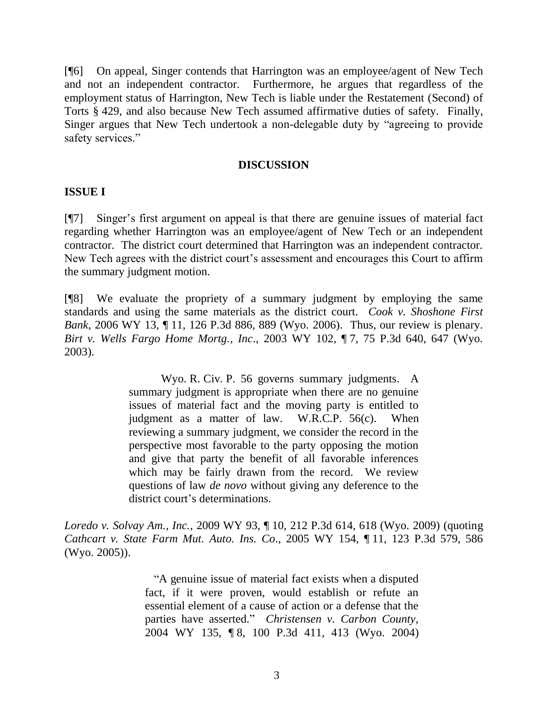[¶6] On appeal, Singer contends that Harrington was an employee/agent of New Tech and not an independent contractor. Furthermore, he argues that regardless of the employment status of Harrington, New Tech is liable under the Restatement (Second) of Torts § 429, and also because New Tech assumed affirmative duties of safety. Finally, Singer argues that New Tech undertook a non-delegable duty by "agreeing to provide safety services."

## **DISCUSSION**

### **ISSUE I**

[¶7] Singer's first argument on appeal is that there are genuine issues of material fact regarding whether Harrington was an employee/agent of New Tech or an independent contractor. The district court determined that Harrington was an independent contractor. New Tech agrees with the district court's assessment and encourages this Court to affirm the summary judgment motion.

[¶8] We evaluate the propriety of a summary judgment by employing the same standards and using the same materials as the district court. *Cook v. Shoshone First Bank*, 2006 WY 13, ¶ 11, 126 P.3d 886, 889 (Wyo. 2006). Thus, our review is plenary. *Birt v. Wells Fargo Home Mortg., Inc*., 2003 WY 102, ¶ 7, 75 P.3d 640, 647 (Wyo. 2003).

> Wyo. R. Civ. P. 56 governs summary judgments. A summary judgment is appropriate when there are no genuine issues of material fact and the moving party is entitled to judgment as a matter of law. W.R.C.P. 56(c). When reviewing a summary judgment, we consider the record in the perspective most favorable to the party opposing the motion and give that party the benefit of all favorable inferences which may be fairly drawn from the record. We review questions of law *de novo* without giving any deference to the district court's determinations.

*Loredo v. Solvay Am., Inc.,* 2009 WY 93, ¶ 10, 212 P.3d 614, 618 (Wyo. 2009) (quoting *[Cathcart v. State Farm Mut.](http://www.lexis.com/research/buttonTFLink?_m=3ea18105f4351735305d344125027eb8&_xfercite=%3ccite%20cc%3d%22USA%22%3e%3c%21%5bCDATA%5b2009%20WY%2093%5d%5d%3e%3c%2fcite%3e&_butType=3&_butStat=2&_butNum=40&_butInline=1&_butinfo=%3ccite%20cc%3d%22USA%22%3e%3c%21%5bCDATA%5b2005%20WY%20154%5d%5d%3e%3c%2fcite%3e&_fmtstr=FULL&docnum=1&_startdoc=1&wchp=dGLbVtz-zSkAW&_md5=8aaf3b52df7e4e0ecd7e9387818df588) Auto. Ins. Co*., 2005 WY 154, ¶ 11, 123 P.3d 579, 586 [\(Wyo.](http://www.lexis.com/research/buttonTFLink?_m=3ea18105f4351735305d344125027eb8&_xfercite=%3ccite%20cc%3d%22USA%22%3e%3c%21%5bCDATA%5b2009%20WY%2093%5d%5d%3e%3c%2fcite%3e&_butType=3&_butStat=2&_butNum=40&_butInline=1&_butinfo=%3ccite%20cc%3d%22USA%22%3e%3c%21%5bCDATA%5b2005%20WY%20154%5d%5d%3e%3c%2fcite%3e&_fmtstr=FULL&docnum=1&_startdoc=1&wchp=dGLbVtz-zSkAW&_md5=8aaf3b52df7e4e0ecd7e9387818df588) 2005)).

> "A genuine issue of material fact exists when a disputed fact, if it were proven, would establish or refute an essential element of a cause of action or a defense that the parties have asserted." *Christensen v. Carbon County*, 2004 WY 135, ¶ 8, 100 P.3d 411, 413 (Wyo. 2004)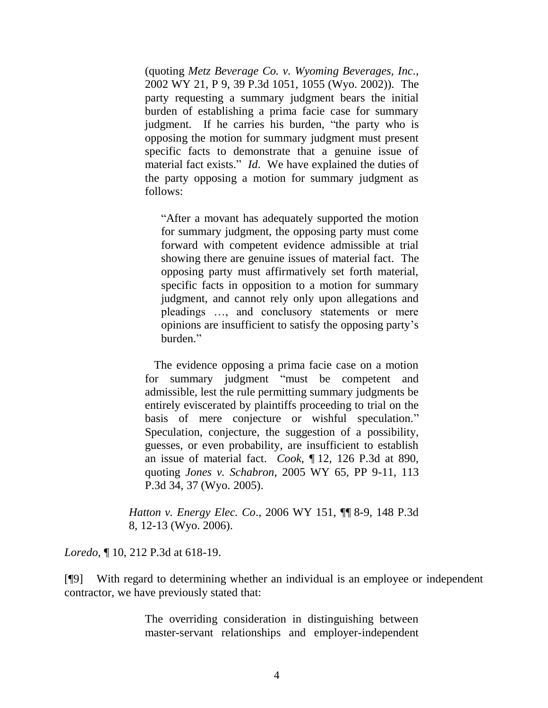(quoting *Metz Beverage Co. v. Wyoming Beverages, Inc*., 2002 WY 21, P 9, 39 P.3d 1051, 1055 (Wyo. 2002)). The party requesting a summary judgment bears the initial burden of establishing a prima facie case for summary judgment. If he carries his burden, "the party who is opposing the motion for summary judgment must present specific facts to demonstrate that a genuine issue of material fact exists." *Id*. We have explained the duties of the party opposing a motion for summary judgment as follows:

"After a movant has adequately supported the motion for summary judgment, the opposing party must come forward with competent evidence admissible at trial showing there are genuine issues of material fact. The opposing party must affirmatively set forth material, specific facts in opposition to a motion for summary judgment, and cannot rely only upon allegations and pleadings …, and conclusory statements or mere opinions are insufficient to satisfy the opposing party's burden."

 The evidence opposing a prima facie case on a motion for summary judgment "must be competent and admissible, lest the rule permitting summary judgments be entirely eviscerated by plaintiffs proceeding to trial on the basis of mere conjecture or wishful speculation." Speculation, conjecture, the suggestion of a possibility, guesses, or even probability, are insufficient to establish an issue of material fact. *Cook*, ¶ 12, 126 P.3d at 890, quoting *Jones v. Schabron*, 2005 WY 65, PP 9-11, 113 P.3d 34, 37 (Wyo. 2005).

*Hatton v. Energy Elec. Co*., 2006 WY 151, ¶¶ 8-9, 148 P.3d 8, 12-13 (Wyo. 2006).

*Loredo*, ¶ 10, 212 P.3d at 618-19.

[¶9] With regard to determining whether an individual is an employee or independent contractor, we have previously stated that:

> The overriding consideration in distinguishing between master-servant relationships and employer-independent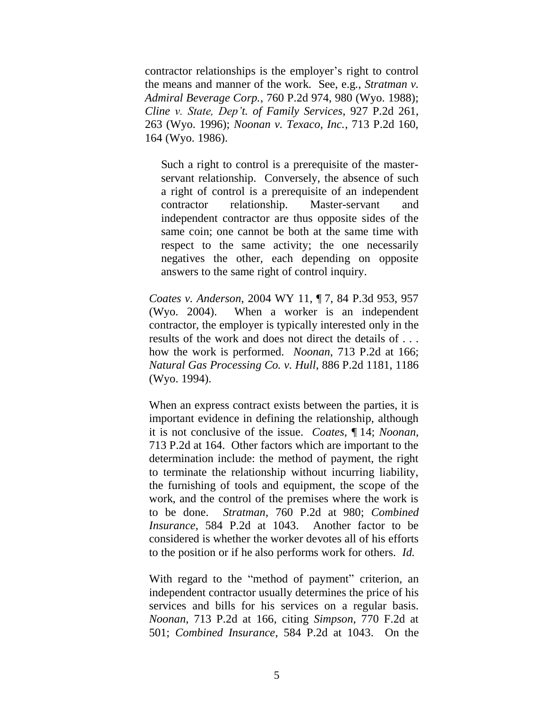contractor relationships is the employer's right to control the means and manner of the work. See, e.g., *[Stratman v.](http://www.lexis.com/research/buttonTFLink?_m=b8964d5ec269f47f1ca961c69dc9f8ba&_xfercite=%3ccite%20cc%3d%22USA%22%3e%3c%21%5bCDATA%5b2008%20WY%2040%5d%5d%3e%3c%2fcite%3e&_butType=3&_butStat=2&_butNum=79&_butInline=1&_butinfo=%3ccite%20cc%3d%22USA%22%3e%3c%21%5bCDATA%5b760%20P.2d%20974%2c%20980%5d%5d%3e%3c%2fcite%3e&_fmtstr=FULL&docnum=2&_startdoc=1&wchp=dGLbVtz-zSkAW&_md5=18f76be169ade20179e07b973701a4e4)  Admiral Beverage Corp.*[, 760 P.2d 974, 980 \(Wyo. 1988\);](http://www.lexis.com/research/buttonTFLink?_m=b8964d5ec269f47f1ca961c69dc9f8ba&_xfercite=%3ccite%20cc%3d%22USA%22%3e%3c%21%5bCDATA%5b2008%20WY%2040%5d%5d%3e%3c%2fcite%3e&_butType=3&_butStat=2&_butNum=79&_butInline=1&_butinfo=%3ccite%20cc%3d%22USA%22%3e%3c%21%5bCDATA%5b760%20P.2d%20974%2c%20980%5d%5d%3e%3c%2fcite%3e&_fmtstr=FULL&docnum=2&_startdoc=1&wchp=dGLbVtz-zSkAW&_md5=18f76be169ade20179e07b973701a4e4) *Cline [v. State, Dep't. of Family Services](http://www.lexis.com/research/buttonTFLink?_m=b8964d5ec269f47f1ca961c69dc9f8ba&_xfercite=%3ccite%20cc%3d%22USA%22%3e%3c%21%5bCDATA%5b2008%20WY%2040%5d%5d%3e%3c%2fcite%3e&_butType=3&_butStat=2&_butNum=80&_butInline=1&_butinfo=%3ccite%20cc%3d%22USA%22%3e%3c%21%5bCDATA%5b927%20P.2d%20261%2c%20263%5d%5d%3e%3c%2fcite%3e&_fmtstr=FULL&docnum=2&_startdoc=1&wchp=dGLbVtz-zSkAW&_md5=fe3c339f2e10bd392ac7e9e4fbaffb14)*, 927 P.2d 261, [263 \(Wyo. 1996\);](http://www.lexis.com/research/buttonTFLink?_m=b8964d5ec269f47f1ca961c69dc9f8ba&_xfercite=%3ccite%20cc%3d%22USA%22%3e%3c%21%5bCDATA%5b2008%20WY%2040%5d%5d%3e%3c%2fcite%3e&_butType=3&_butStat=2&_butNum=80&_butInline=1&_butinfo=%3ccite%20cc%3d%22USA%22%3e%3c%21%5bCDATA%5b927%20P.2d%20261%2c%20263%5d%5d%3e%3c%2fcite%3e&_fmtstr=FULL&docnum=2&_startdoc=1&wchp=dGLbVtz-zSkAW&_md5=fe3c339f2e10bd392ac7e9e4fbaffb14) *[Noonan v. Texaco, Inc.](http://www.lexis.com/research/buttonTFLink?_m=b8964d5ec269f47f1ca961c69dc9f8ba&_xfercite=%3ccite%20cc%3d%22USA%22%3e%3c%21%5bCDATA%5b2008%20WY%2040%5d%5d%3e%3c%2fcite%3e&_butType=3&_butStat=2&_butNum=81&_butInline=1&_butinfo=%3ccite%20cc%3d%22USA%22%3e%3c%21%5bCDATA%5b713%20P.2d%20160%2c%20164%5d%5d%3e%3c%2fcite%3e&_fmtstr=FULL&docnum=2&_startdoc=1&wchp=dGLbVtz-zSkAW&_md5=e56f84789894807a879c22bf028fbd80)*, 713 P.2d 160, [164 \(Wyo. 1986\).](http://www.lexis.com/research/buttonTFLink?_m=b8964d5ec269f47f1ca961c69dc9f8ba&_xfercite=%3ccite%20cc%3d%22USA%22%3e%3c%21%5bCDATA%5b2008%20WY%2040%5d%5d%3e%3c%2fcite%3e&_butType=3&_butStat=2&_butNum=81&_butInline=1&_butinfo=%3ccite%20cc%3d%22USA%22%3e%3c%21%5bCDATA%5b713%20P.2d%20160%2c%20164%5d%5d%3e%3c%2fcite%3e&_fmtstr=FULL&docnum=2&_startdoc=1&wchp=dGLbVtz-zSkAW&_md5=e56f84789894807a879c22bf028fbd80)

Such a right to control is a prerequisite of the masterservant relationship. Conversely, the absence of such a right of control is a prerequisite of an independent contractor relationship. Master-servant and independent contractor are thus opposite sides of the same coin; one cannot be both at the same time with respect to the same activity; the one necessarily negatives the other, each depending on opposite answers to the same right of control inquiry.

*Coates v. Anderson*, 2004 WY 11, ¶ 7, 84 P.3d 953, 957 (Wyo. 2004). When a worker is an independent contractor, the employer is typically interested only in the results of the work and does not direct the details of . . . how the work is performed. *Noonan*, 713 P.2d at 166; *Natural Gas Processing Co. v. Hull*, 886 P.2d 1181, 1186 (Wyo. 1994).

When an express contract exists between the parties, it is important evidence in defining the relationship, although it is not conclusive of the issue. *Coates*, ¶ 14; *Noonan*, 713 P.2d at 164. Other factors which are important to the determination include: the method of payment, the right to terminate the relationship without incurring liability, the furnishing of tools and equipment, the scope of the work, and the control of the premises where the work is to be done. *Stratman*[, 760 P.2d at 980;](http://www.lexis.com/research/buttonTFLink?_m=b8964d5ec269f47f1ca961c69dc9f8ba&_xfercite=%3ccite%20cc%3d%22USA%22%3e%3c%21%5bCDATA%5b2008%20WY%2040%5d%5d%3e%3c%2fcite%3e&_butType=3&_butStat=2&_butNum=88&_butInline=1&_butinfo=%3ccite%20cc%3d%22USA%22%3e%3c%21%5bCDATA%5b760%20P.2d%20974%2c%20980%5d%5d%3e%3c%2fcite%3e&_fmtstr=FULL&docnum=2&_startdoc=1&wchp=dGLbVtz-zSkAW&_md5=0b6edeb5218391256f52f3d441a695f1) *[Combined](http://www.lexis.com/research/buttonTFLink?_m=b8964d5ec269f47f1ca961c69dc9f8ba&_xfercite=%3ccite%20cc%3d%22USA%22%3e%3c%21%5bCDATA%5b2008%20WY%2040%5d%5d%3e%3c%2fcite%3e&_butType=3&_butStat=2&_butNum=89&_butInline=1&_butinfo=%3ccite%20cc%3d%22USA%22%3e%3c%21%5bCDATA%5b584%20P.2d%201034%2c%201043%5d%5d%3e%3c%2fcite%3e&_fmtstr=FULL&docnum=2&_startdoc=1&wchp=dGLbVtz-zSkAW&_md5=d9064757ce3b7411c849245b253b7cd3)  Insurance*[, 584 P.2d at 1043.](http://www.lexis.com/research/buttonTFLink?_m=b8964d5ec269f47f1ca961c69dc9f8ba&_xfercite=%3ccite%20cc%3d%22USA%22%3e%3c%21%5bCDATA%5b2008%20WY%2040%5d%5d%3e%3c%2fcite%3e&_butType=3&_butStat=2&_butNum=89&_butInline=1&_butinfo=%3ccite%20cc%3d%22USA%22%3e%3c%21%5bCDATA%5b584%20P.2d%201034%2c%201043%5d%5d%3e%3c%2fcite%3e&_fmtstr=FULL&docnum=2&_startdoc=1&wchp=dGLbVtz-zSkAW&_md5=d9064757ce3b7411c849245b253b7cd3) Another factor to be considered is whether the worker devotes all of his efforts to the position or if he also performs work for others. *Id.*

With regard to the "method of payment" criterion, an independent contractor usually determines the price of his services and bills for his services on a regular basis. *Noonan*[, 713 P.2d at 166,](http://www.lexis.com/research/buttonTFLink?_m=b8964d5ec269f47f1ca961c69dc9f8ba&_xfercite=%3ccite%20cc%3d%22USA%22%3e%3c%21%5bCDATA%5b2008%20WY%2040%5d%5d%3e%3c%2fcite%3e&_butType=3&_butStat=2&_butNum=91&_butInline=1&_butinfo=%3ccite%20cc%3d%22USA%22%3e%3c%21%5bCDATA%5b713%20P.2d%20160%2c%20166%5d%5d%3e%3c%2fcite%3e&_fmtstr=FULL&docnum=2&_startdoc=1&wchp=dGLbVtz-zSkAW&_md5=bc99549fed013497ce2e5bef689e6ae4) citing *Simpson*[, 770 F.2d at](http://www.lexis.com/research/buttonTFLink?_m=b8964d5ec269f47f1ca961c69dc9f8ba&_xfercite=%3ccite%20cc%3d%22USA%22%3e%3c%21%5bCDATA%5b2008%20WY%2040%5d%5d%3e%3c%2fcite%3e&_butType=3&_butStat=2&_butNum=92&_butInline=1&_butinfo=%3ccite%20cc%3d%22USA%22%3e%3c%21%5bCDATA%5b770%20F.2d%20499%2c%20501%5d%5d%3e%3c%2fcite%3e&_fmtstr=FULL&docnum=2&_startdoc=1&wchp=dGLbVtz-zSkAW&_md5=e2e18e4ed33bf9a67a7383e42678a997)  [501;](http://www.lexis.com/research/buttonTFLink?_m=b8964d5ec269f47f1ca961c69dc9f8ba&_xfercite=%3ccite%20cc%3d%22USA%22%3e%3c%21%5bCDATA%5b2008%20WY%2040%5d%5d%3e%3c%2fcite%3e&_butType=3&_butStat=2&_butNum=92&_butInline=1&_butinfo=%3ccite%20cc%3d%22USA%22%3e%3c%21%5bCDATA%5b770%20F.2d%20499%2c%20501%5d%5d%3e%3c%2fcite%3e&_fmtstr=FULL&docnum=2&_startdoc=1&wchp=dGLbVtz-zSkAW&_md5=e2e18e4ed33bf9a67a7383e42678a997) *[Combined Insurance](http://www.lexis.com/research/buttonTFLink?_m=b8964d5ec269f47f1ca961c69dc9f8ba&_xfercite=%3ccite%20cc%3d%22USA%22%3e%3c%21%5bCDATA%5b2008%20WY%2040%5d%5d%3e%3c%2fcite%3e&_butType=3&_butStat=2&_butNum=93&_butInline=1&_butinfo=%3ccite%20cc%3d%22USA%22%3e%3c%21%5bCDATA%5b584%20P.2d%201034%2c%201043%5d%5d%3e%3c%2fcite%3e&_fmtstr=FULL&docnum=2&_startdoc=1&wchp=dGLbVtz-zSkAW&_md5=cd132447116c8c6fe870424b1cdf8585)*, 584 P.2d at 1043. On the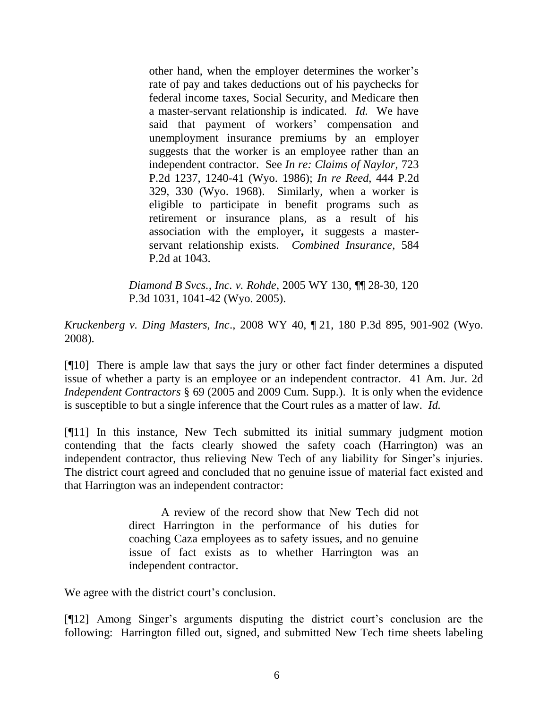other hand, when the employer determines the worker's rate of pay and takes deductions out of his paychecks for federal income taxes, Social Security, and Medicare then a master-servant relationship is indicated. *Id.* We have said that payment of workers' compensation and unemployment insurance premiums by an employer suggests that the worker is an employee rather than an independent contractor. See *In re: Claims of Naylor*, 723 P.2d 1237, 1240-41 (Wyo. 1986); *In re Reed*, 444 P.2d 329, 330 (Wyo. 1968). Similarly, when a worker is eligible to participate in benefit programs such as retirement or insurance plans, as a result of his association with the employer**,** it suggests a masterservant relationship exists. *Combined Insurance*, 584 P.2d at 1043.

*[Diamond B Svcs., Inc. v. Rohde](http://www.lexis.com/research/buttonTFLink?_m=b8964d5ec269f47f1ca961c69dc9f8ba&_xfercite=%3ccite%20cc%3d%22USA%22%3e%3c%21%5bCDATA%5b2008%20WY%2040%5d%5d%3e%3c%2fcite%3e&_butType=3&_butStat=2&_butNum=97&_butInline=1&_butinfo=%3ccite%20cc%3d%22USA%22%3e%3c%21%5bCDATA%5b2005%20WY%20130%5d%5d%3e%3c%2fcite%3e&_fmtstr=FULL&docnum=2&_startdoc=1&wchp=dGLbVtz-zSkAW&_md5=74da894380c84af75f1d7d68a52fd0e5)*, 2005 WY 130, ¶¶ 28-30, 120 [P.3d 1031, 1041-42 \(Wyo. 2005\).](http://www.lexis.com/research/buttonTFLink?_m=b8964d5ec269f47f1ca961c69dc9f8ba&_xfercite=%3ccite%20cc%3d%22USA%22%3e%3c%21%5bCDATA%5b2008%20WY%2040%5d%5d%3e%3c%2fcite%3e&_butType=3&_butStat=2&_butNum=97&_butInline=1&_butinfo=%3ccite%20cc%3d%22USA%22%3e%3c%21%5bCDATA%5b2005%20WY%20130%5d%5d%3e%3c%2fcite%3e&_fmtstr=FULL&docnum=2&_startdoc=1&wchp=dGLbVtz-zSkAW&_md5=74da894380c84af75f1d7d68a52fd0e5)

*Kruckenberg v. Ding Masters, Inc*., 2008 WY 40, ¶ 21, 180 P.3d 895, 901-902 (Wyo. 2008).

[¶10] There is ample law that says the jury or other fact finder determines a disputed issue of whether a party is an employee or an independent contractor. 41 Am. Jur. 2d *Independent Contractors* § 69 (2005 and 2009 Cum. Supp.). It is only when the evidence is susceptible to but a single inference that the Court rules as a matter of law. *Id.*

[¶11] In this instance, New Tech submitted its initial summary judgment motion contending that the facts clearly showed the safety coach (Harrington) was an independent contractor, thus relieving New Tech of any liability for Singer's injuries. The district court agreed and concluded that no genuine issue of material fact existed and that Harrington was an independent contractor:

> A review of the record show that New Tech did not direct Harrington in the performance of his duties for coaching Caza employees as to safety issues, and no genuine issue of fact exists as to whether Harrington was an independent contractor.

We agree with the district court's conclusion.

[¶12] Among Singer's arguments disputing the district court's conclusion are the following: Harrington filled out, signed, and submitted New Tech time sheets labeling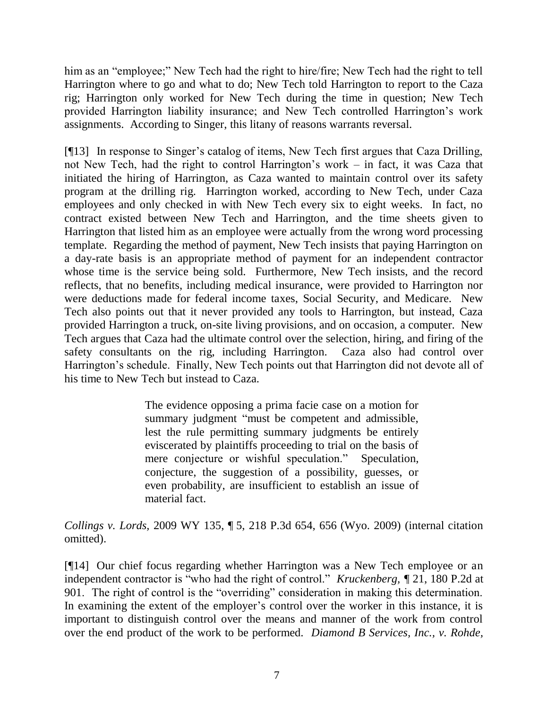him as an "employee;" New Tech had the right to hire/fire; New Tech had the right to tell Harrington where to go and what to do; New Tech told Harrington to report to the Caza rig; Harrington only worked for New Tech during the time in question; New Tech provided Harrington liability insurance; and New Tech controlled Harrington's work assignments. According to Singer, this litany of reasons warrants reversal.

[¶13] In response to Singer's catalog of items, New Tech first argues that Caza Drilling, not New Tech, had the right to control Harrington's work – in fact, it was Caza that initiated the hiring of Harrington, as Caza wanted to maintain control over its safety program at the drilling rig. Harrington worked, according to New Tech, under Caza employees and only checked in with New Tech every six to eight weeks. In fact, no contract existed between New Tech and Harrington, and the time sheets given to Harrington that listed him as an employee were actually from the wrong word processing template. Regarding the method of payment, New Tech insists that paying Harrington on a day-rate basis is an appropriate method of payment for an independent contractor whose time is the service being sold. Furthermore, New Tech insists, and the record reflects, that no benefits, including medical insurance, were provided to Harrington nor were deductions made for federal income taxes, Social Security, and Medicare. New Tech also points out that it never provided any tools to Harrington, but instead, Caza provided Harrington a truck, on-site living provisions, and on occasion, a computer. New Tech argues that Caza had the ultimate control over the selection, hiring, and firing of the safety consultants on the rig, including Harrington. Caza also had control over Harrington's schedule. Finally, New Tech points out that Harrington did not devote all of his time to New Tech but instead to Caza.

> The evidence opposing a prima facie case on a motion for summary judgment "must be competent and admissible, lest the rule permitting summary judgments be entirely eviscerated by plaintiffs proceeding to trial on the basis of mere conjecture or wishful speculation." Speculation, conjecture, the suggestion of a possibility, guesses, or even probability, are insufficient to establish an issue of material fact.

*Collings v. Lords,* 2009 WY 135, ¶ 5, 218 P.3d 654, 656 (Wyo. 2009) (internal citation omitted).

[¶14] Our chief focus regarding whether Harrington was a New Tech employee or an independent contractor is "who had the right of control." *Kruckenberg, ¶* 21, 180 P.2d at 901. The right of control is the "overriding" consideration in making this determination. In examining the extent of the employer's control over the worker in this instance, it is important to distinguish control over the means and manner of the work from control over the end product of the work to be performed. *Diamond B Services, Inc., v. Rohde,*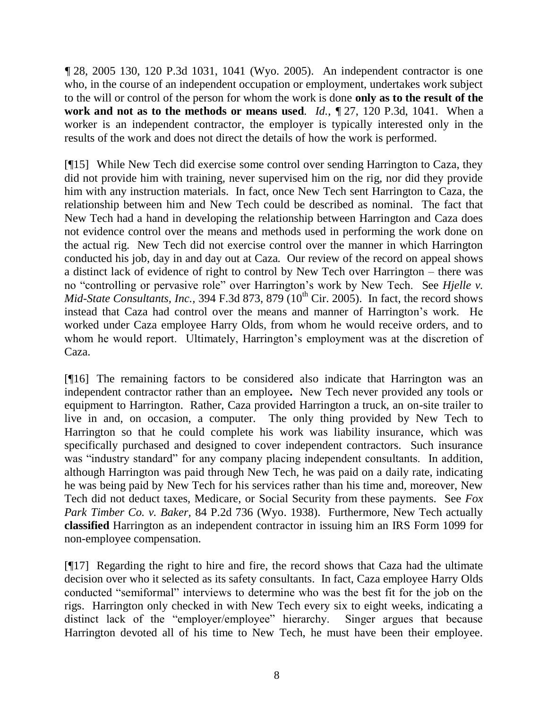*¶* 28, 2005 130, 120 P.3d 1031, 1041 (Wyo. 2005). An independent contractor is one who, in the course of an independent occupation or employment, undertakes work subject to the will or control of the person for whom the work is done **only as to the result of the work and not as to the methods or means used***. Id.*, *¶* 27, 120 P.3d, 1041. When a worker is an independent contractor, the employer is typically interested only in the results of the work and does not direct the details of how the work is performed.

[¶15] While New Tech did exercise some control over sending Harrington to Caza, they did not provide him with training, never supervised him on the rig, nor did they provide him with any instruction materials. In fact, once New Tech sent Harrington to Caza, the relationship between him and New Tech could be described as nominal. The fact that New Tech had a hand in developing the relationship between Harrington and Caza does not evidence control over the means and methods used in performing the work done on the actual rig. New Tech did not exercise control over the manner in which Harrington conducted his job, day in and day out at Caza. Our review of the record on appeal shows a distinct lack of evidence of right to control by New Tech over Harrington – there was no "controlling or pervasive role" over Harrington's work by New Tech. See *Hjelle v. Mid-State Consultants, Inc.,* 394 F.3d 873, 879 (10<sup>th</sup> Cir. 2005). In fact, the record shows instead that Caza had control over the means and manner of Harrington's work. He worked under Caza employee Harry Olds, from whom he would receive orders, and to whom he would report. Ultimately, Harrington's employment was at the discretion of Caza.

[¶16] The remaining factors to be considered also indicate that Harrington was an independent contractor rather than an employee**.** New Tech never provided any tools or equipment to Harrington. Rather, Caza provided Harrington a truck, an on-site trailer to live in and, on occasion, a computer. The only thing provided by New Tech to Harrington so that he could complete his work was liability insurance, which was specifically purchased and designed to cover independent contractors. Such insurance was "industry standard" for any company placing independent consultants. In addition, although Harrington was paid through New Tech, he was paid on a daily rate, indicating he was being paid by New Tech for his services rather than his time and, moreover, New Tech did not deduct taxes, Medicare, or Social Security from these payments. See *Fox Park Timber Co. v. Baker,* 84 P.2d 736 (Wyo. 1938). Furthermore, New Tech actually **classified** Harrington as an independent contractor in issuing him an IRS Form 1099 for non-employee compensation.

[¶17] Regarding the right to hire and fire, the record shows that Caza had the ultimate decision over who it selected as its safety consultants. In fact, Caza employee Harry Olds conducted "semiformal" interviews to determine who was the best fit for the job on the rigs. Harrington only checked in with New Tech every six to eight weeks, indicating a distinct lack of the "employer/employee" hierarchy. Singer argues that because Harrington devoted all of his time to New Tech, he must have been their employee.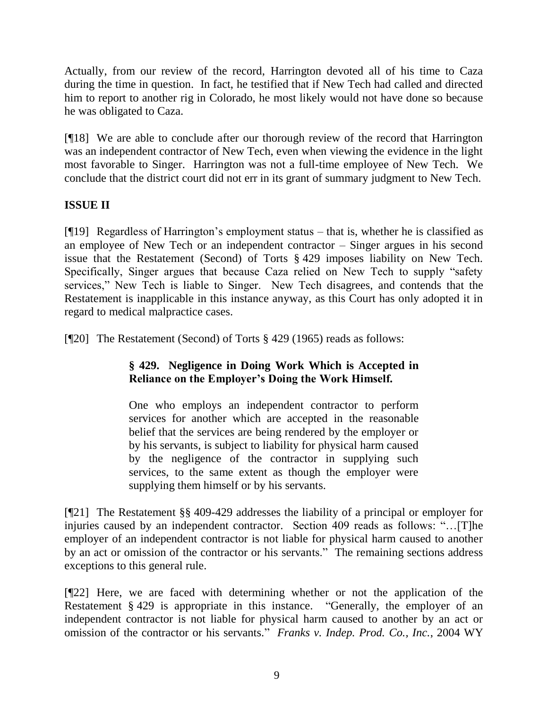Actually, from our review of the record, Harrington devoted all of his time to Caza during the time in question. In fact, he testified that if New Tech had called and directed him to report to another rig in Colorado, he most likely would not have done so because he was obligated to Caza.

[¶18] We are able to conclude after our thorough review of the record that Harrington was an independent contractor of New Tech, even when viewing the evidence in the light most favorable to Singer. Harrington was not a full-time employee of New Tech. We conclude that the district court did not err in its grant of summary judgment to New Tech.

# **ISSUE II**

[¶19] Regardless of Harrington's employment status – that is, whether he is classified as an employee of New Tech or an independent contractor – Singer argues in his second issue that the Restatement (Second) of Torts § 429 imposes liability on New Tech. Specifically, Singer argues that because Caza relied on New Tech to supply "safety services," New Tech is liable to Singer. New Tech disagrees, and contends that the Restatement is inapplicable in this instance anyway, as this Court has only adopted it in regard to medical malpractice cases.

[¶20] The Restatement (Second) of Torts § 429 (1965) reads as follows:

# **§ 429. Negligence in Doing Work Which is Accepted in Reliance on the Employer's Doing the Work Himself.**

One who employs an independent contractor to perform services for another which are accepted in the reasonable belief that the services are being rendered by the employer or by his servants, is subject to liability for physical harm caused by the negligence of the contractor in supplying such services, to the same extent as though the employer were supplying them himself or by his servants.

[¶21] The Restatement §§ 409-429 addresses the liability of a principal or employer for injuries caused by an independent contractor. Section 409 reads as follows: "…[T]he employer of an independent contractor is not liable for physical harm caused to another by an act or omission of the contractor or his servants." The remaining sections address exceptions to this general rule.

[¶22] Here, we are faced with determining whether or not the application of the Restatement § 429 is appropriate in this instance. "Generally, the employer of an independent contractor is not liable for physical harm caused to another by an act or omission of the contractor or his servants." *Franks v. Indep. Prod. Co., Inc.*, 2004 WY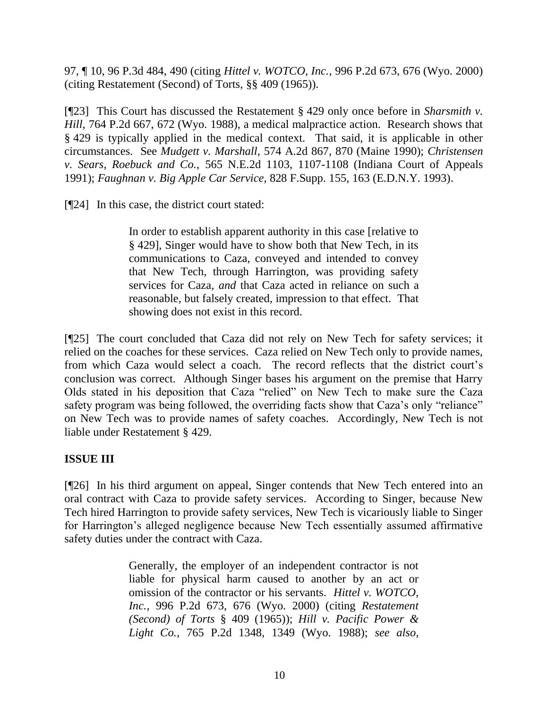97*,* ¶ 10, 96 P.3d 484, 490 (citing *Hittel v. WOTCO, Inc.*, 996 P.2d 673, 676 (Wyo. 2000) (citing Restatement (Second) of Torts, §§ 409 (1965)).

[¶23] This Court has discussed the Restatement § 429 only once before in *Sharsmith v. Hill*, 764 P.2d 667, 672 (Wyo. 1988), a medical malpractice action. Research shows that § 429 is typically applied in the medical context. That said, it is applicable in other circumstances. See *Mudgett v. Marshall*, 574 A.2d 867, 870 (Maine 1990); *Christensen v. Sears, Roebuck and Co.,* 565 N.E.2d 1103, 1107-1108 (Indiana Court of Appeals 1991); *Faughnan v. Big Apple Car Service,* 828 F.Supp. 155, 163 (E.D.N.Y. 1993).

[¶24] In this case, the district court stated:

In order to establish apparent authority in this case [relative to § 429], Singer would have to show both that New Tech, in its communications to Caza, conveyed and intended to convey that New Tech, through Harrington, was providing safety services for Caza, *and* that Caza acted in reliance on such a reasonable, but falsely created, impression to that effect. That showing does not exist in this record.

[¶25] The court concluded that Caza did not rely on New Tech for safety services; it relied on the coaches for these services. Caza relied on New Tech only to provide names, from which Caza would select a coach. The record reflects that the district court's conclusion was correct. Although Singer bases his argument on the premise that Harry Olds stated in his deposition that Caza "relied" on New Tech to make sure the Caza safety program was being followed, the overriding facts show that Caza's only "reliance" on New Tech was to provide names of safety coaches. Accordingly, New Tech is not liable under Restatement § 429.

## **ISSUE III**

[¶26] In his third argument on appeal, Singer contends that New Tech entered into an oral contract with Caza to provide safety services. According to Singer, because New Tech hired Harrington to provide safety services, New Tech is vicariously liable to Singer for Harrington's alleged negligence because New Tech essentially assumed affirmative safety duties under the contract with Caza.

> Generally, the employer of an independent contractor is not liable for physical harm caused to another by an act or omission of the contractor or his servants. *Hittel v. WOTCO, Inc.,* 996 P.2d 673, 676 (Wyo. 2000) (citing *Restatement (Second) of Torts* § 409 (1965)); *Hill v. Pacific Power & Light Co.,* 765 P.2d 1348, 1349 (Wyo. 1988); *see also,*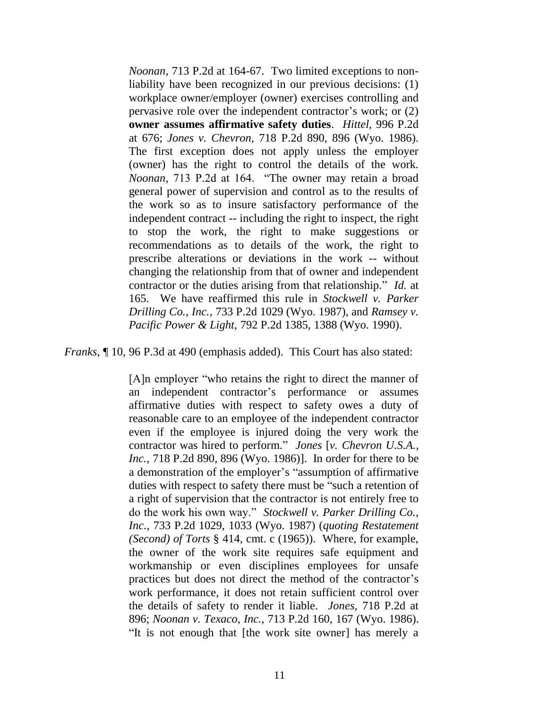*Noonan,* 713 P.2d at 164-67. Two limited exceptions to nonliability have been recognized in our previous decisions: (1) workplace owner/employer (owner) exercises controlling and pervasive role over the independent contractor's work; or (2) **owner assumes affirmative safety duties**. *Hittel,* 996 P.2d at 676; *Jones v. Chevron,* 718 P.2d 890, 896 (Wyo. 1986). The first exception does not apply unless the employer (owner) has the right to control the details of the work. *Noonan,* 713 P.2d at 164. "The owner may retain a broad general power of supervision and control as to the results of the work so as to insure satisfactory performance of the independent contract -- including the right to inspect, the right to stop the work, the right to make suggestions or recommendations as to details of the work, the right to prescribe alterations or deviations in the work -- without changing the relationship from that of owner and independent contractor or the duties arising from that relationship." *Id.* at 165. We have reaffirmed this rule in *Stockwell v. Parker Drilling Co., Inc.*, 733 P.2d 1029 (Wyo. 1987), and *Ramsey v. Pacific Power & Light,* 792 P.2d 1385, 1388 (Wyo. 1990).

*Franks*, 10, 96 P.3d at 490 (emphasis added). This Court has also stated:

[A]n employer "who retains the right to direct the manner of an independent contractor's performance or assumes affirmative duties with respect to safety owes a duty of reasonable care to an employee of the independent contractor even if the employee is injured doing the very work the contractor was hired to perform." *Jones* [*v. Chevron U.S.A., Inc.*, 718 P.2d 890, 896 (Wyo. 1986)]. In order for there to be a demonstration of the employer's "assumption of affirmative duties with respect to safety there must be "such a retention of a right of supervision that the contractor is not entirely free to do the work his own way." *Stockwell v. Parker Drilling Co., Inc*., 733 P.2d 1029, 1033 (Wyo. 1987) (*quoting Restatement (Second) of Torts* § 414, cmt. c (1965)). Where, for example, the owner of the work site requires safe equipment and workmanship or even disciplines employees for unsafe practices but does not direct the method of the contractor's work performance, it does not retain sufficient control over the details of safety to render it liable. *Jones*, 718 P.2d at 896; *Noonan v. Texaco, Inc.*, 713 P.2d 160, 167 (Wyo. 1986). "It is not enough that [the work site owner] has merely a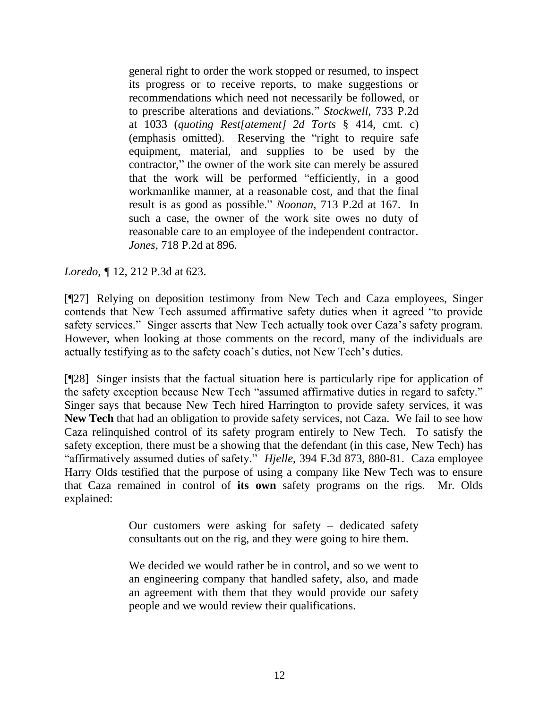general right to order the work stopped or resumed, to inspect its progress or to receive reports, to make suggestions or recommendations which need not necessarily be followed, or to prescribe alterations and deviations." *Stockwell*, 733 P.2d at 1033 (*quoting Rest[atement] 2d Torts* § 414, cmt. c) (emphasis omitted). Reserving the "right to require safe equipment, material, and supplies to be used by the contractor," the owner of the work site can merely be assured that the work will be performed "efficiently, in a good workmanlike manner, at a reasonable cost, and that the final result is as good as possible." *Noonan*, 713 P.2d at 167. In such a case, the owner of the work site owes no duty of reasonable care to an employee of the independent contractor. *Jones*, 718 P.2d at 896.

*Loredo,* **[12, 212 P.3d at 623.** 

[¶27] Relying on deposition testimony from New Tech and Caza employees, Singer contends that New Tech assumed affirmative safety duties when it agreed "to provide safety services." Singer asserts that New Tech actually took over Caza's safety program. However, when looking at those comments on the record, many of the individuals are actually testifying as to the safety coach's duties, not New Tech's duties.

[¶28] Singer insists that the factual situation here is particularly ripe for application of the safety exception because New Tech "assumed affirmative duties in regard to safety." Singer says that because New Tech hired Harrington to provide safety services, it was **New Tech** that had an obligation to provide safety services, not Caza. We fail to see how Caza relinquished control of its safety program entirely to New Tech. To satisfy the safety exception, there must be a showing that the defendant (in this case, New Tech) has "affirmatively assumed duties of safety." *Hjelle*, 394 F.3d 873, 880-81. Caza employee Harry Olds testified that the purpose of using a company like New Tech was to ensure that Caza remained in control of **its own** safety programs on the rigs. Mr. Olds explained:

> Our customers were asking for safety – dedicated safety consultants out on the rig, and they were going to hire them.

> We decided we would rather be in control, and so we went to an engineering company that handled safety, also, and made an agreement with them that they would provide our safety people and we would review their qualifications.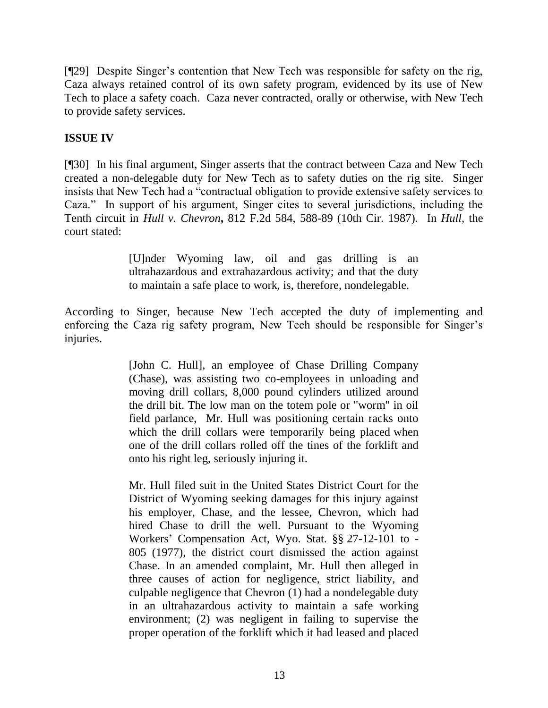[¶29] Despite Singer's contention that New Tech was responsible for safety on the rig, Caza always retained control of its own safety program, evidenced by its use of New Tech to place a safety coach. Caza never contracted, orally or otherwise, with New Tech to provide safety services.

# **ISSUE IV**

[¶30] In his final argument, Singer asserts that the contract between Caza and New Tech created a non-delegable duty for New Tech as to safety duties on the rig site. Singer insists that New Tech had a "contractual obligation to provide extensive safety services to Caza." In support of his argument, Singer cites to several jurisdictions, including the Tenth circuit in *Hull v. Chevron***,** 812 F.2d 584, 588-89 (10th Cir. 1987)*.* In *Hull,* the court stated:

> [U]nder Wyoming law, oil and gas drilling is an ultrahazardous and extrahazardous activity; and that the duty to maintain a safe place to work, is, therefore, nondelegable.

According to Singer, because New Tech accepted the duty of implementing and enforcing the Caza rig safety program, New Tech should be responsible for Singer's injuries.

> [John C. Hull], an employee of Chase Drilling Company (Chase), was assisting two co-employees in unloading and moving drill collars, 8,000 pound cylinders utilized around the drill bit. The low man on the totem pole or "worm" in oil field parlance, Mr. Hull was positioning certain racks onto which the drill collars were temporarily being placed when one of the drill collars rolled off the tines of the forklift and onto his right leg, seriously injuring it.

> Mr. Hull filed suit in the United States District Court for the District of Wyoming seeking damages for this injury against his employer, Chase, and the lessee, Chevron, which had hired Chase to drill the well. Pursuant to the Wyoming Workers' Compensation Act, Wyo. Stat. §§ 27-12-101 to - 805 (1977), the district court dismissed the action against Chase. In an amended complaint, Mr. Hull then alleged in three causes of action for negligence, strict liability, and culpable negligence that Chevron (1) had a nondelegable duty in an ultrahazardous activity to maintain a safe working environment; (2) was negligent in failing to supervise the proper operation of the forklift which it had leased and placed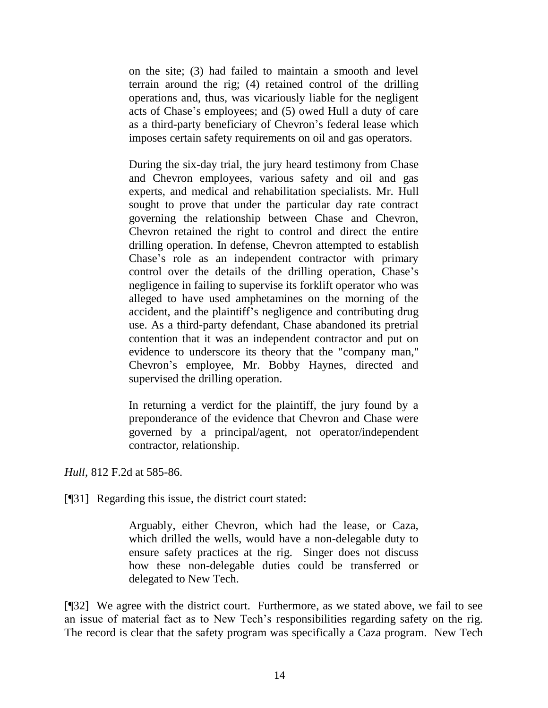on the site; (3) had failed to maintain a smooth and level terrain around the rig; (4) retained control of the drilling operations and, thus, was vicariously liable for the negligent acts of Chase's employees; and (5) owed Hull a duty of care as a third-party beneficiary of Chevron's federal lease which imposes certain safety requirements on oil and gas operators.

During the six-day trial, the jury heard testimony from Chase and Chevron employees, various safety and oil and gas experts, and medical and rehabilitation specialists. Mr. Hull sought to prove that under the particular day rate contract governing the relationship between Chase and Chevron, Chevron retained the right to control and direct the entire drilling operation. In defense, Chevron attempted to establish Chase's role as an independent contractor with primary control over the details of the drilling operation, Chase's negligence in failing to supervise its forklift operator who was alleged to have used amphetamines on the morning of the accident, and the plaintiff's negligence and contributing drug use. As a third-party defendant, Chase abandoned its pretrial contention that it was an independent contractor and put on evidence to underscore its theory that the "company man," Chevron's employee, Mr. Bobby Haynes, directed and supervised the drilling operation.

In returning a verdict for the plaintiff, the jury found by a preponderance of the evidence that Chevron and Chase were governed by a principal/agent, not operator/independent contractor, relationship.

*Hull*, 812 F.2d at 585-86.

[¶31] Regarding this issue, the district court stated:

Arguably, either Chevron, which had the lease, or Caza, which drilled the wells, would have a non-delegable duty to ensure safety practices at the rig. Singer does not discuss how these non-delegable duties could be transferred or delegated to New Tech.

[¶32] We agree with the district court. Furthermore, as we stated above, we fail to see an issue of material fact as to New Tech's responsibilities regarding safety on the rig. The record is clear that the safety program was specifically a Caza program. New Tech